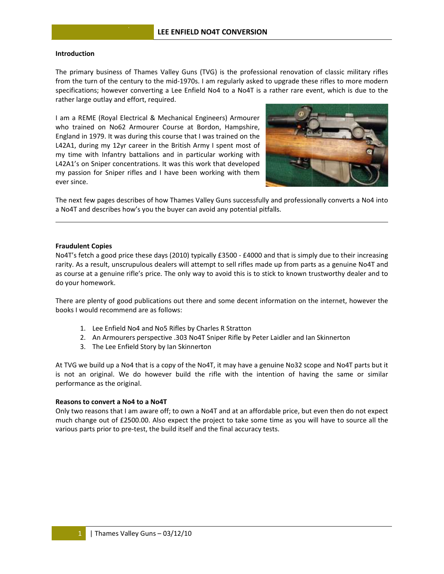# **Introduction n**

The primary business of Thames Valley Guns (TVG) is the professional renovation of classic military rifles from the turn of the century to the mid-1970s. I am regularly asked to upgrade these rifles to more modern specifications; however converting a Lee Enfield No4 to a No4T is a rather rare event, which is due to the rather large outlay and effort, required.

I am a REME (Royal Electrical & Mechanical Engineers) Armourer who trained on No62 Armourer Course at Bordon, Hampshire, England in 1979. It was during this course that I was trained on the L42A1, during my 12yr career in the British Army I spent most of my time with Infantry battalions and in particular working with L42A1's on Sniper concentrations. It was this work that developed my passion for Sniper rifles and I have been working with them ever since.



The next few pages describes of how Thames Valley Guns successfully and professionally converts a No4 into a No4T and describes how's you the buyer can avoid any potential pitfalls.

## **Fraudulent C Copies**

No4T's fetch a good price these days (2010) typically £3500 - £4000 and that is simply due to their increasing rarity. As a result, unscrupulous dealers will attempt to sell rifles made up from parts as a genuine No4T and as course at a genuine rifle's price. The only way to avoid this is to stick to known trustworthy dealer and to do your hom mework.

There are plenty of good publications out there and some decent information on the internet, however the books I would recommend are as follows:

- 1. Lee Enfield No4 and No5 Rifles by Charles R Stratton
- 2. An Armourers perspective .303 No4T Sniper Rifle by Peter Laidler and Ian Skinnerton
- 3. The Lee Enfield Story by Ian Skinnerton

2. An Armourers perspective .303 No4T Sniper Rifle by Peter Laidler and Ian Skinnerton<br>3. The Lee Enfield Story by Ian Skinnerton<br>At TVG we build up a No4 that is a copy of the No4T, it may have a genuine No32 scope and No is not an original. We do however build the rifle with the intention of having the same or similar performance as the original.

### **Reasons to convert a No4 to a No4T**

Only two reasons that I am aware off; to own a No4T and at an affordable price, but even then do not expect much change out of £2500.00. Also expect the project to take some time as you will have to source all the various parts prior to pre-test, the build itself and the final accuracy tests.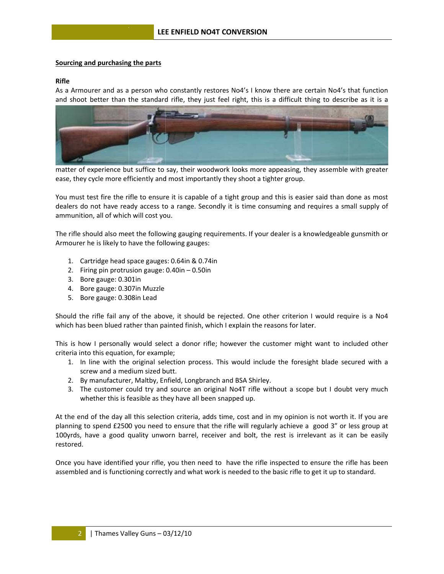# Sourcing and purchasing the parts

# **Rifle**

As a Armourer and as a person who constantly restores No4's I know there are certain No4's that function and shoot better than the standard rifle, they just feel right, this is a difficult thing to describe as it is a



matter of experience but suffice to say, their woodwork looks more appeasing, they assemble with greater ease, they cycle more efficiently and most importantly they shoot a tighter group.

You must test fire the rifle to ensure it is capable of a tight group and this is easier said than done as most dealers do not have ready access to a range. Secondly it is time consuming and requires a small supply of ammunition, all of which will cost you.

The rifle should also meet the following gauging requirements. If your dealer is a knowledgeable gunsmith or Armourer he is likely to have the following gauges:

- 1. Cartridge head space gauges: 0.64in & 0.74in
- 2. Firing pin protrusion gauge:  $0.40$ in  $-0.50$ in
- 3. Bore gauge: 0.301in
- 4. Bore gauge: 0.307in Muzzle
- 5. Bore gauge: 0.308in Lead

Should the rifle fail any of the above, it should be rejected. One other criterion I would require is a No4 which has been blued rather than painted finish, which I explain the reasons for later.

This is how I personally would select a donor rifle; however the customer might want to included other criteria into this equation, for example;

- 1. In line with the original selection process. This would include the foresight blade secured with a screw and a medium sized butt.
- 2. By manufacturer, Maltby, Enfield, Longbranch and BSA Shirley.
- 3. The customer could try and source an original No4T rifle without a scope but I doubt very much whether this is feasible as they have all been snapped up.

At the end of the day all this selection criteria, adds time, cost and in my opinion is not worth it. If you are planning to spend £2500 you need to ensure that the rifle will regularly achieve a good 3" or less group at 100yrds, have a good quality unworn barrel, receiver and bolt, the rest is irrelevant as it can be easily restored.

Once you have identified your rifle, you then need to have the rifle inspected to ensure the rifle has been assembled and is functioning correctly and what work is needed to the basic rifle to get it up to standard.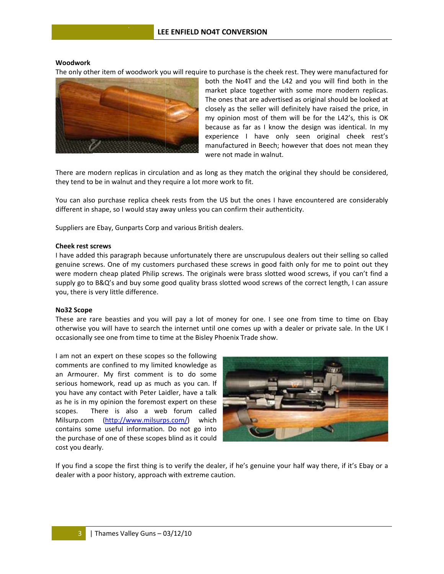### **Woodwork**

The only other item of woodwork you will require to purchase is the cheek rest. They were manufactured for



both the No4T and the L42 and you will find both in the both the No4T and the L42 and you will find both in the<br>market place together with some more modern replicas. The ones that are advertised as original should be looked at closely as t the seller wi ll definitely have raised the price, in my opinion most of them will be for the L42's, this is OK because as far as I know the design was identical. In my experience I have only seen original cheek rest' manufactured in Beech; however that does not mean they were not made in walnut. n<br>Ky<br>'s ey<br>d,

There are modern replicas in circulation and as long as they match the original they should be considered they tend to be in walnut and they require a lot more work to fit.

You can also purchase replica cheek rests from the US but the ones I have encountered are considerably different in shape, so I would stay away unless you can confirm their authenticity.

Suppliers are Ebay, Gunparts Corp and various British dealers.

### **Cheek rest s screws**

I have added this paragraph because unfortunately there are unscrupulous dealers out their selling so called genuine screws. One of my customers purchased these screws in good faith only for me to point out they were modern cheap plated Philip screws. The originals were brass slotted wood screws, if you can't find a supply go to B&Q's and buy some good quality brass slotted wood screws of the correct length, I can assure you, there is very little difference. y<br>dyae<br>y

#### **No32 Scope**

These are rare beasties and you will pay a lot of money for one. I see one from time to time on Ebay otherwise you will have to search the internet until one comes up with a dealer or private sale. In the UK occasionally see one from time to time at the Bisley Phoenix Trade show.

I am not an expert on these scopes so the following comments are confined to my limited knowledge as an Armourer. My first comment is to do some serious homework, read up as much as you can. If you have any contact with Peter Laidler, have a talk as he is in my opinion the foremost expert on these scopes. Milsurp.com (http://www.milsurps.com/) w contains some useful information. Do not go into the purchase of one of these scopes blind as it could cost you dearly. There is a also a web b forum c alled which



If you find a scope the first thing is to verify the dealer, if he's genuine your half way there, if it's Ebay or a dealer with a poor history, approach with extreme caution.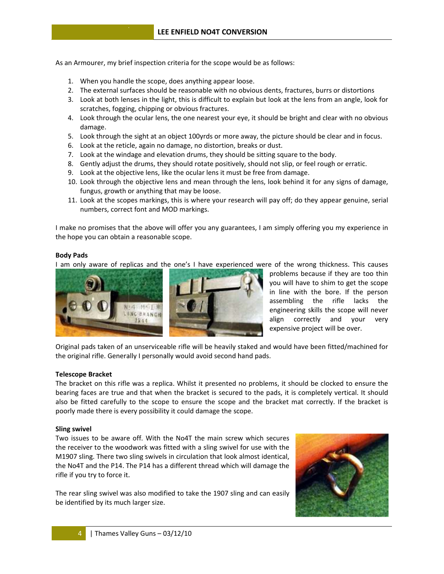As an Armourer, my brief inspection criteria for the scope would be as follows:

- 1. When you handle the scope, does anything appear loose.
- 2. The external surfaces should be reasonable with no obvious dents, fractures, burrs or distortions
- 3. Look at both lenses in the light, this is difficult to explain but look at the lens from an angle, look for scratches, fogging, chipping or obvious fractures.
- 4. Look through the ocular lens, the one nearest your eye, it should be bright and clear with no obvious dam mage.
- 5. Look through the sight at an object 100yrds or more away, the picture should be clear and in focus.
- 6. Look at the reticle, again no damage, no distortion, breaks or dust.
- 7. Look at the windage and elevation drums, they should be sitting square to the body.
- 8. Gently adjust the drums, they should rotate positively, should not slip, or feel rough or erratic.
- 9. Look at the objective lens, like the ocular lens it must be free from damage.
- 10. Look through the objective lens and mean through the lens, look behind it for any signs of damage, fungus, growth or anything that may be loose.
- 11. Look at the scopes markings, this is where your research will pay off; do they appear genuine, serial numbers, correct font and MOD markings.

I make no promises that the above will offer you any guarantees, I am simply offering you my experience in the hope you can obtain n a reasonab le scope. n<br>:s

#### **Body Pads**

I am only aware of replicas and the one's I have experienced were of the wrong thickness. This cause



problems because if they are too thin you will have to shim to get the scope in line with the bore. If the person as ssembling the rifle lacks the engineering skills the scope will neve align correctly and your very expensive project will be over. nen<br>en<br>er yr

Original pads taken of an unserviceable rifle will be heavily staked and would have been fitted/machined fo the original rifle. Generally I personally would avoid second hand pads.

### **Telescope B Bracket**

The bracket on this rifle was a replica. Whilst it presented no problems, it should be clocked to ensure the bearing faces are true and that when the bracket is secured to the pads, it is completely vertical. It should also be fitted carefully to the scope to ensure the scope and the bracket mat correctly. If the bracket i poorly made there is every possibility it could damage the scope. e<br>d<br>is

#### **Sling swivel**

Two issues to be aware off. With the No4T the main screw which secures the receiver to the woodwork was fitted with a sling swivel for use with the M1907 sling. There two sling swivels in circulation that look almost identical, the No4T and the P14. The P14 has a different thread which will damage the rifle if you try to force it.

rifle if you try to force it.<br>The rear sling swivel was also modified to take the 1907 sling and can easily be identified by its much larger size.

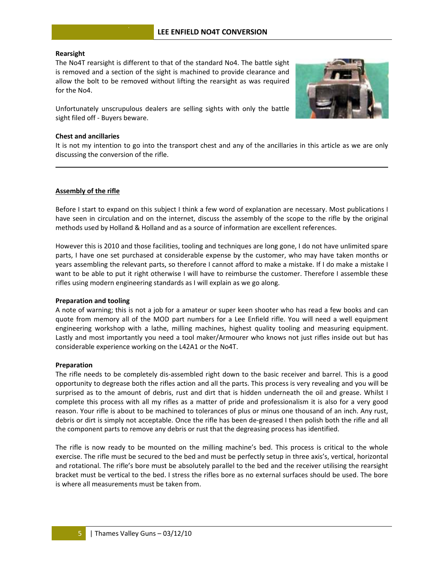# **Rearsight**

The No4T rearsight is different to that of the standard No4. The battle sight is removed and a section of the sight is machined to provide clearance and allow the bolt to be removed without lifting the rearsight as was required for the No4.

Unfortunately unscrupulous dealers are selling sights with only the battle sight filed off - Buyers beware.

### **Chest and ancillaries**

It is not my intention to go into the transport chest and any of the ancillaries in this article as we are only discussing the conversion of the rifle. y<br>I

# **Assembly of f the rifle**

Before I start to expand on this subject I think a few word of explanation are necessary. Most publications have seen in circulation and on the internet, discuss the assembly of the scope to the rifle by the original methods used by Holland & Holland and as a source of information are excellent references.

However this is 2010 and those facilities, tooling and techniques are long gone, I do not have unlimited spare However this is 2010 and those facilities, tooling and techniques are long gone, I do not have unlimited spare<br>parts, I have one set purchased at considerable expense by the customer, who may have taken months or years assembling the relevant parts, so therefore I cannot afford to make a mistake. If I do make a mistake I want to be able to put it right otherwise I will have to reimburse the customer. Therefore I assemble these rifles using modern engineering standards as I will explain as we go along.

# **Preparation and tooling**

A note of warning; this is not a job for a amateur or super keen shooter who has read a few books and can quote from memory all of the MOD part numbers for a Lee Enfield rifle. You will need a well equipment engineering workshop with a lathe, milling machines, highest quality tooling and measuring equipment Lastly and most importantly you need a tool maker/Armourer who knows not just rifles inside out but has considerable experience working on the L42A1 or the No4T. e<br>n<br>t.

# **Preparation n**

The rifle needs to be completely dis-assembled right down to the basic receiver and barrel. This is a good opportunity to degrease both the rifles action and all the parts. This process is very revealing and you will be surprised as to the amount of debris, rust and dirt that is hidden underneath the oil and grease. Whilst complete this process with all my rifles as a matter of pride and professionalism it is also for a very good complete this process with all my rifles as a matter of pride and professionalism it is also for a very good<br>reason. Your rifle is about to be machined to tolerances of plus or minus one thousand of an inch. Any rust, debris or dirt is simply not acceptable. Once the rifle has been de-greased I then polish both the rifle and all the component parts to remove any debris or rust that the degreasing process has identified. d<br>e<br>I

The rifle is now ready to be mounted on the milling machine's bed. This process is critical to the whole<br>exercise. The rifle must be secured to the bed and must be perfectly setup in three axis's, vertical, horizontal exercise. The rifle must be secured to the bed and must be perfectly setup in three axis's, vertical, horizonta and rotational. The rifle's bore must be absolutely parallel to the bed and the receiver utilising the rearsight bracket must be vertical to the bed. I stress the rifles bore as no external surfaces should be used. The bore is where all measurements must be taken from.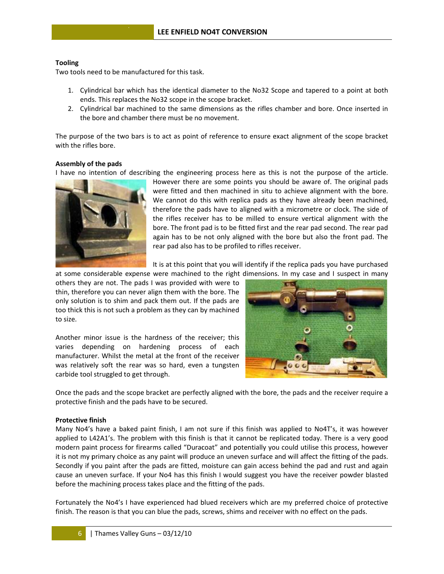# **Tooling**

Two tools need to be manufactured for this task.

- 1. Cylindrical bar which has the identical diameter to the No32 Scope and tapered to a point at both ends. This replaces the No32 scope in the scope bracket.
- 2. Cylindrical bar machined to the same dimensions as the rifles chamber and bore. Once inserted in the bore and chamber there must be no movement.

The purpose of the two bars is to act as point of reference to ensure exact alignment of the scope bracket with the rifles bore.

# Assembly of the pads

I have no intention of describing the engineering process here as this is not the purpose of the article.



However there are some points you should be aware of. The original pads were fitted and then machined in situ to achieve alignment with the bore. We cannot do this with replica pads as they have already been machined, therefore the pads have to aligned with a micrometre or clock. The side of the rifles receiver has to be milled to ensure vertical alignment with the bore. The front pad is to be fitted first and the rear pad second. The rear pad again has to be not only aligned with the bore but also the front pad. The rear pad also has to be profiled to rifles receiver.

It is at this point that you will identify if the replica pads you have purchased

at some considerable expense were machined to the right dimensions. In my case and I suspect in many others they are not. The pads I was provided with were to thin, therefore you can never align them with the bore. The only solution is to shim and pack them out. If the pads are too thick this is not such a problem as they can by machined to size.

Another minor issue is the hardness of the receiver; this varies depending on hardening process of each manufacturer. Whilst the metal at the front of the receiver was relatively soft the rear was so hard, even a tungsten carbide tool struggled to get through.



Once the pads and the scope bracket are perfectly aligned with the bore, the pads and the receiver require a protective finish and the pads have to be secured.

### **Protective finish**

Many No4's have a baked paint finish, I am not sure if this finish was applied to No4T's, it was however applied to L42A1's. The problem with this finish is that it cannot be replicated today. There is a very good modern paint process for firearms called "Duracoat" and potentially you could utilise this process, however it is not my primary choice as any paint will produce an uneven surface and will affect the fitting of the pads. Secondly if you paint after the pads are fitted, moisture can gain access behind the pad and rust and again cause an uneven surface. If your No4 has this finish I would suggest you have the receiver powder blasted before the machining process takes place and the fitting of the pads.

Fortunately the No4's I have experienced had blued receivers which are my preferred choice of protective finish. The reason is that you can blue the pads, screws, shims and receiver with no effect on the pads.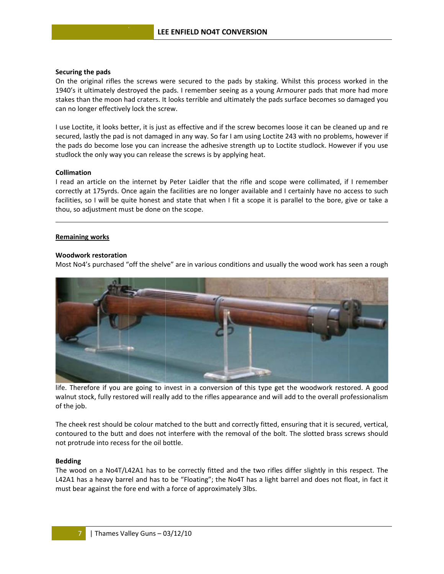### Securing the pads

On the original rifles the screws were secured to the pads by staking. Whilst this process worked in the 1940's it ultimately destroyed the pads. I remember seeing as a young Armourer pads that more had more stakes than the moon had craters. It looks terrible and ultimately the pads surface becomes so damaged you can no longer effectively lock the screw.

I use Loctite, it looks better, it is just as effective and if the screw becomes loose it can be cleaned up and re secured, lastly the pad is not damaged in any way. So far I am using Loctite 243 with no problems, however if the pads do become lose you can increase the adhesive strength up to Loctite studlock. However if you use studlock the only way you can release the screws is by applying heat.

### **Collimation**

I read an article on the internet by Peter Laidler that the rifle and scope were collimated, if I remember correctly at 175yrds. Once again the facilities are no longer available and I certainly have no access to such facilities, so I will be quite honest and state that when I fit a scope it is parallel to the bore, give or take a thou, so adjustment must be done on the scope.

### **Remaining works**

### **Woodwork restoration**

Most No4's purchased "off the shelve" are in various conditions and usually the wood work has seen a rough



life. Therefore if you are going to invest in a conversion of this type get the woodwork restored. A good walnut stock, fully restored will really add to the rifles appearance and will add to the overall professionalism of the job.

The cheek rest should be colour matched to the butt and correctly fitted, ensuring that it is secured, vertical, contoured to the butt and does not interfere with the removal of the bolt. The slotted brass screws should not protrude into recess for the oil bottle.

### **Bedding**

The wood on a No4T/L42A1 has to be correctly fitted and the two rifles differ slightly in this respect. The L42A1 has a heavy barrel and has to be "Floating"; the No4T has a light barrel and does not float, in fact it must bear against the fore end with a force of approximately 3lbs.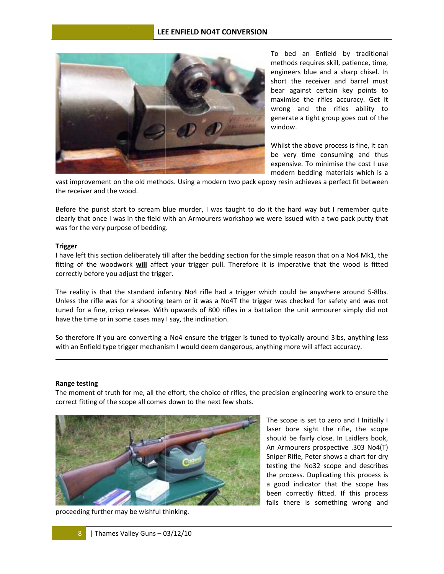

To bed an Enfield by traditional methods requires skill, patience, time, engineers blue and a sharp chisel. In sh hort the re ceiver and barrel must bear against certain key points to maximise the rifles accuracy. Get i w wrong and the rifles ability to generate a tight group goes out of the w window. n<br>st<br>it

Whilst the above process is fine, it can be very time consuming and thus expensive. To minimise the cost I use m modern bedd ding materia ls which is a oenseaneat

vast improvement on the old methods. Using a modern two pack epoxy resin achieves a perfect fit between the receiver and the wood.

Before the purist start to scream blue murder, I was taught to do it the hard way but I remember quite clearly that once I was in the field with an Armourers workshop we were issued with a two pack putty tha was for the very purpose of bedding.

#### **Trigger**

I have left this section deliberately till after the bedding section for the simple reason that on a No4 Mk1, the fitting of the woodwork *will* affect your trigger pull. Therefore it is imperative that the wood is fitted correctly before you adjust the trigger. e<br>d<br>s.

The reality is that the standard infantry No4 rifle had a trigger which could be anywhere around 5-8lbs Unless the rifle was for a shooting team or it was a No4T the trigger was checked for safety and was not tuned for a fine, crisp release. With upwards of 800 rifles in a battalion the unit armourer simply did not have the time or in some cases may I say, the inclination.

So therefore if you are converting a No4 ensure the trigger is tuned to typically around 3lbs, anything less with an Enfield type trigger mechanism I would deem dangerous, anything more will affect accuracy.

#### **Range testin ng**

The moment of truth for me, all the effort, the choice of rifles, the precision engineering work to ensure the correct fitting of the scope all comes down to the next few shots. e<br>I



The scope is set to zero and I Initially laser bore sight the rifle, the scope laser bore sight the rifle, the scope<br>should be fairly close. In Laidlers book, An Armourers prospective .303 No4(T T) Sniper Rifle, Peter shows a chart for dry testing the No32 scope and describes the process. Duplicating this process is a good indicator that the scope has been correctly fitted. If this process fails there is something wrong and y<br>issssssid

proceeding f further may be wishful thinking.